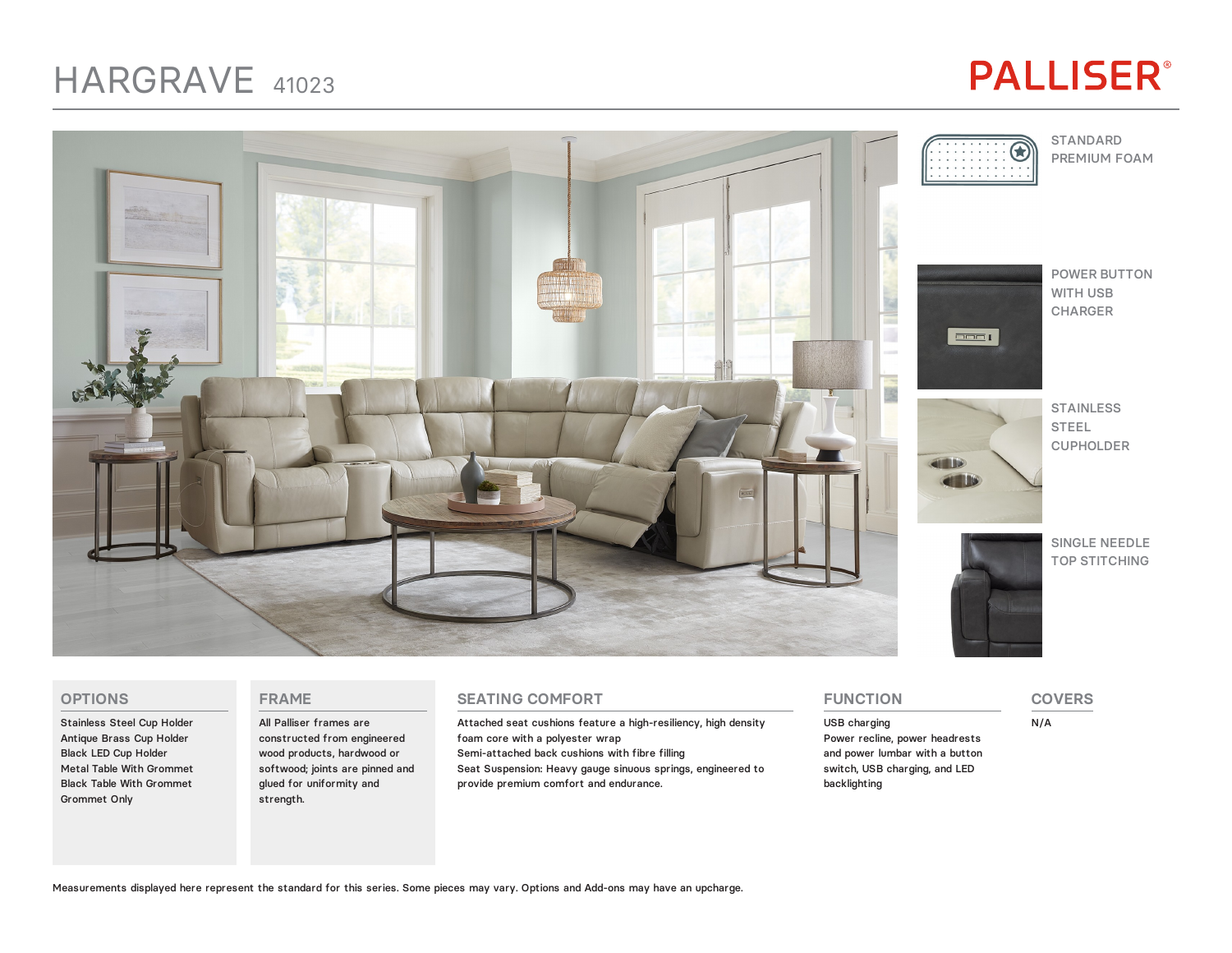### HARGRAVE <sup>41023</sup>

# **PALLISER®**



#### **OPTIONS**

Stainless Steel Cup Holder Antique Brass Cup Holder Black LED Cup Holder Metal Table With Grommet Black Table With Grommet Grommet Only

#### **FRAME**

All Palliser frames are constructed from engineered wood products, hardwood or softwood; joints are pinned and glued for uniformity and strength.

#### **SEATING COMFORT**

Attached seat cushions feature a high-resiliency, high density foam core with a polyester wrap Semi-attached back cushions with fibre filling Seat Suspension: Heavy gauge sinuous springs, engineered to provide premium comfort and endurance.

**FUNCTION**

backlighting

USB charging Power recline, power headrests and power lumbar with a button

switch, USB charging, and LED

**COVERS**

N/A

Measurements displayed here represent the standard for this series. Some pieces may vary. Options and Add-ons may have an upcharge.